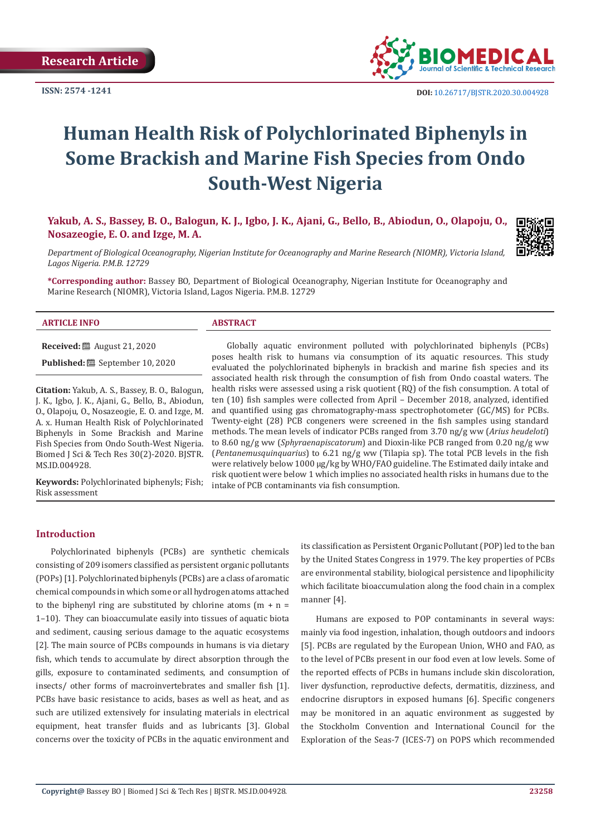

# **Human Health Risk of Polychlorinated Biphenyls in Some Brackish and Marine Fish Species from Ondo South-West Nigeria**

**Yakub, A. S., Bassey, B. O., Balogun, K. J., Igbo, J. K., Ajani, G., Bello, B., Abiodun, O., Olapoju, O., Nosazeogie, E. O. and Izge, M. A.**

*Department of Biological Oceanography, Nigerian Institute for Oceanography and Marine Research (NIOMR), Victoria Island, Lagos Nigeria. P.M.B. 12729*

**\*Corresponding author:** Bassey BO, Department of Biological Oceanography, Nigerian Institute for Oceanography and Marine Research (NIOMR), Victoria Island, Lagos Nigeria. P.M.B. 12729

#### **ARTICLE INFO ABSTRACT**

**Received:** August 21, 2020

**Published:** September 10, 2020

**Citation:** Yakub, A. S., Bassey, B. O., Balogun, J. K., Igbo, J. K., Ajani, G., Bello, B., Abiodun, O., Olapoju, O., Nosazeogie, E. O. and Izge, M. A. x. Human Health Risk of Polychlorinated Biphenyls in Some Brackish and Marine Fish Species from Ondo South-West Nigeria. Biomed J Sci & Tech Res 30(2)-2020. BJSTR. MS.ID.004928.

**Keywords:** Polychlorinated biphenyls; Fish; Risk assessment

## Globally aquatic environment polluted with polychlorinated biphenyls (PCBs) poses health risk to humans via consumption of its aquatic resources. This study evaluated the polychlorinated biphenyls in brackish and marine fish species and its associated health risk through the consumption of fish from Ondo coastal waters. The health risks were assessed using a risk quotient (RQ) of the fish consumption. A total of ten (10) fish samples were collected from April – December 2018, analyzed, identified and quantified using gas chromatography-mass spectrophotometer (GC/MS) for PCBs. Twenty-eight (28) PCB congeners were screened in the fish samples using standard methods. The mean levels of indicator PCBs ranged from 3.70 ng/g ww (*Arius heudeloti*) to 8.60 ng/g ww (*Sphyraenapiscatorum*) and Dioxin-like PCB ranged from 0.20 ng/g ww (*Pentanemusquinquarius*) to 6.21 ng/g ww (Tilapia sp). The total PCB levels in the fish were relatively below 1000 µg/kg by WHO/FAO guideline. The Estimated daily intake and risk quotient were below 1 which implies no associated health risks in humans due to the intake of PCB contaminants via fish consumption.

#### **Introduction**

Polychlorinated biphenyls (PCBs) are synthetic chemicals consisting of 209 isomers classified as persistent organic pollutants (POPs) [1]. Polychlorinated biphenyls (PCBs) are a class of aromatic chemical compounds in which some or all hydrogen atoms attached to the biphenyl ring are substituted by chlorine atoms  $(m + n =$ 1–10). They can bioaccumulate easily into tissues of aquatic biota and sediment, causing serious damage to the aquatic ecosystems [2]. The main source of PCBs compounds in humans is via dietary fish, which tends to accumulate by direct absorption through the gills, exposure to contaminated sediments, and consumption of insects/ other forms of macroinvertebrates and smaller fish [1]. PCBs have basic resistance to acids, bases as well as heat, and as such are utilized extensively for insulating materials in electrical equipment, heat transfer fluids and as lubricants [3]. Global concerns over the toxicity of PCBs in the aquatic environment and

its classification as Persistent Organic Pollutant (POP) led to the ban by the United States Congress in 1979. The key properties of PCBs are environmental stability, biological persistence and lipophilicity which facilitate bioaccumulation along the food chain in a complex manner [4].

Humans are exposed to POP contaminants in several ways: mainly via food ingestion, inhalation, though outdoors and indoors [5]. PCBs are regulated by the European Union, WHO and FAO, as to the level of PCBs present in our food even at low levels. Some of the reported effects of PCBs in humans include skin discoloration, liver dysfunction, reproductive defects, dermatitis, dizziness, and endocrine disruptors in exposed humans [6]. Specific congeners may be monitored in an aquatic environment as suggested by the Stockholm Convention and International Council for the Exploration of the Seas-7 (ICES-7) on POPS which recommended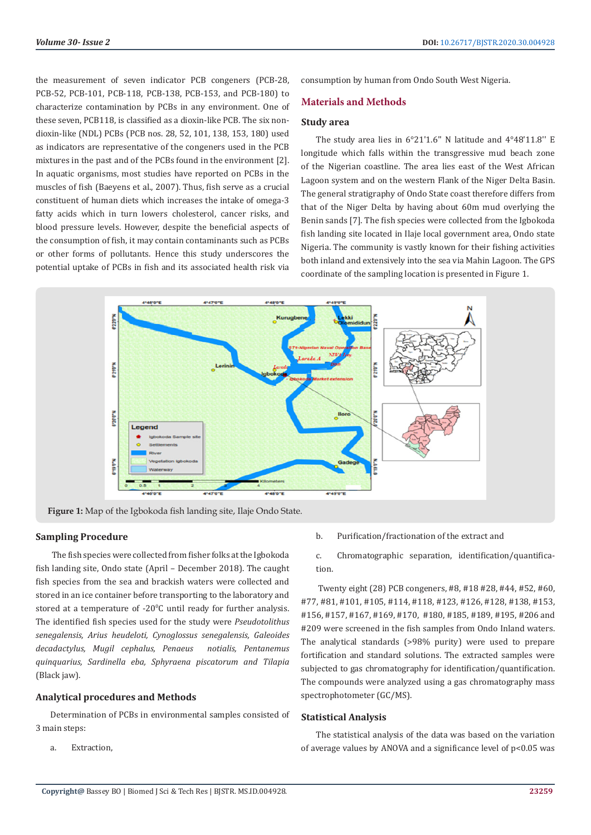the measurement of seven indicator PCB congeners (PCB-28, PCB-52, PCB-101, PCB-118, PCB-138, PCB-153, and PCB-180) to characterize contamination by PCBs in any environment. One of these seven, PCB118, is classified as a dioxin-like PCB. The six nondioxin-like (NDL) PCBs (PCB nos. 28, 52, 101, 138, 153, 180) used as indicators are representative of the congeners used in the PCB mixtures in the past and of the PCBs found in the environment [2]. In aquatic organisms, most studies have reported on PCBs in the muscles of fish (Baeyens et al., 2007). Thus, fish serve as a crucial constituent of human diets which increases the intake of omega-3 fatty acids which in turn lowers cholesterol, cancer risks, and blood pressure levels. However, despite the beneficial aspects of the consumption of fish, it may contain contaminants such as PCBs or other forms of pollutants. Hence this study underscores the potential uptake of PCBs in fish and its associated health risk via

consumption by human from Ondo South West Nigeria.

## **Materials and Methods**

## **Study area**

The study area lies in 6°21'1.6" N latitude and 4°48'11.8" E longitude which falls within the transgressive mud beach zone of the Nigerian coastline. The area lies east of the West African Lagoon system and on the western Flank of the Niger Delta Basin. The general stratigraphy of Ondo State coast therefore differs from that of the Niger Delta by having about 60m mud overlying the Benin sands [7]. The fish species were collected from the Igbokoda fish landing site located in Ilaje local government area, Ondo state Nigeria. The community is vastly known for their fishing activities both inland and extensively into the sea via Mahin Lagoon. The GPS coordinate of the sampling location is presented in Figure 1.



**Figure 1:** Map of the Igbokoda fish landing site, Ilaje Ondo State.

# **Sampling Procedure**

 The fish species were collected from fisher folks at the Igbokoda fish landing site, Ondo state (April – December 2018). The caught fish species from the sea and brackish waters were collected and stored in an ice container before transporting to the laboratory and stored at a temperature of -20<sup>o</sup>C until ready for further analysis. The identified fish species used for the study were *Pseudotolithus senegalensis, Arius heudeloti, Cynoglossus senegalensis, Galeoides decadactylus, Mugil cephalus, Penaeus notialis, Pentanemus quinquarius, Sardinella eba, Sphyraena piscatorum and Tilapia* (Black jaw).

## **Analytical procedures and Methods**

Determination of PCBs in environmental samples consisted of 3 main steps:

a. Extraction,

b. Purification/fractionation of the extract and

c. Chromatographic separation, identification/quantification.

 Twenty eight (28) PCB congeners, #8, #18 #28, #44, #52, #60, #77, #81, #101, #105, #114, #118, #123, #126, #128, #138, #153, #156, #157, #167, #169, #170, #180, #185, #189, #195, #206 and #209 were screened in the fish samples from Ondo Inland waters. The analytical standards (>98% purity) were used to prepare fortification and standard solutions. The extracted samples were subjected to gas chromatography for identification/quantification. The compounds were analyzed using a gas chromatography mass spectrophotometer (GC/MS).

## **Statistical Analysis**

The statistical analysis of the data was based on the variation of average values by ANOVA and a significance level of  $p<0.05$  was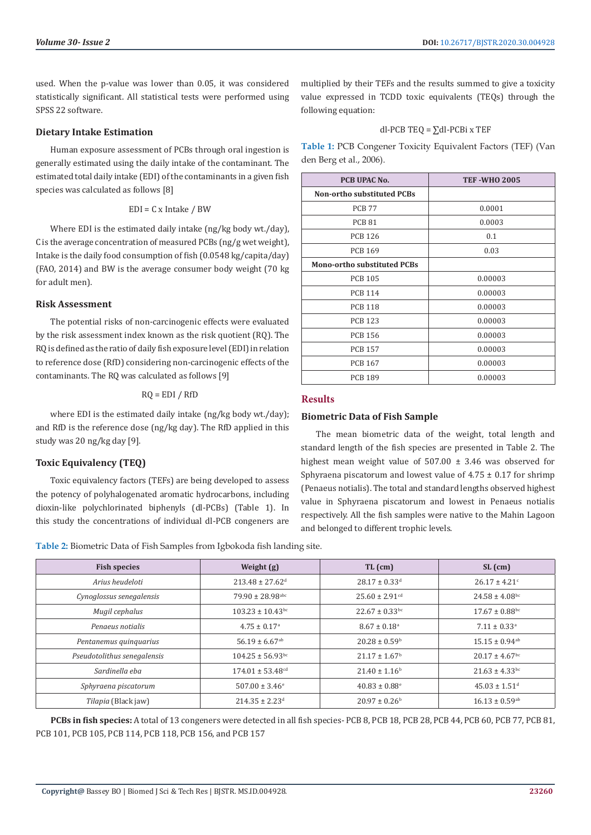used. When the p-value was lower than 0.05, it was considered statistically significant. All statistical tests were performed using SPSS 22 software.

## **Dietary Intake Estimation**

Human exposure assessment of PCBs through oral ingestion is generally estimated using the daily intake of the contaminant. The estimated total daily intake (EDI) of the contaminants in a given fish species was calculated as follows [8]

## EDI = C x Intake / BW

Where EDI is the estimated daily intake (ng/kg body wt./day), C is the average concentration of measured PCBs (ng/g wet weight), Intake is the daily food consumption of fish (0.0548 kg/capita/day) (FAO, 2014) and BW is the average consumer body weight (70 kg for adult men).

## **Risk Assessment**

The potential risks of non-carcinogenic effects were evaluated by the risk assessment index known as the risk quotient (RQ). The RQ is defined as the ratio of daily fish exposure level (EDI) in relation to reference dose (RfD) considering non-carcinogenic effects of the contaminants. The RQ was calculated as follows [9]

## $RQ = EDI / RfD$

where EDI is the estimated daily intake (ng/kg body wt./day); and RfD is the reference dose (ng/kg day). The RfD applied in this study was 20 ng/kg day [9].

# **Toxic Equivalency (TEQ)**

Toxic equivalency factors (TEFs) are being developed to assess the potency of polyhalogenated aromatic hydrocarbons, including dioxin-like polychlorinated biphenyls (dl-PCBs) (Table 1). In this study the concentrations of individual dl-PCB congeners are multiplied by their TEFs and the results summed to give a toxicity value expressed in TCDD toxic equivalents (TEQs) through the following equation:

# dl-PCB TEO =  $\Sigma$ dl-PCBi x TEF

**Table 1:** PCB Congener Toxicity Equivalent Factors (TEF) (Van den Berg et al., 2006).

| PCB UPAC No.                       | <b>TEF-WHO 2005</b> |
|------------------------------------|---------------------|
| <b>Non-ortho substituted PCBs</b>  |                     |
| <b>PCB 77</b>                      | 0.0001              |
| <b>PCB 81</b>                      | 0.0003              |
| <b>PCB 126</b>                     | 0.1                 |
| <b>PCB 169</b>                     | 0.03                |
| <b>Mono-ortho substituted PCBs</b> |                     |
| <b>PCB 105</b>                     | 0.00003             |
| <b>PCB 114</b>                     | 0.00003             |
| <b>PCB 118</b>                     | 0.00003             |
| <b>PCB 123</b>                     | 0.00003             |
| <b>PCB 156</b>                     | 0.00003             |
| <b>PCB 157</b>                     | 0.00003             |
| <b>PCB 167</b>                     | 0.00003             |
| <b>PCB 189</b>                     | 0.00003             |

## **Results**

## **Biometric Data of Fish Sample**

The mean biometric data of the weight, total length and standard length of the fish species are presented in Table 2. The highest mean weight value of  $507.00 \pm 3.46$  was observed for Sphyraena piscatorum and lowest value of  $4.75 \pm 0.17$  for shrimp (Penaeus notialis). The total and standard lengths observed highest value in Sphyraena piscatorum and lowest in Penaeus notialis respectively. All the fish samples were native to the Mahin Lagoon and belonged to different trophic levels.

**Table 2:** Biometric Data of Fish Samples from Igbokoda fish landing site.

| <b>Fish species</b>         | Weight $(g)$                     | $TL$ (cm)                      |                                |
|-----------------------------|----------------------------------|--------------------------------|--------------------------------|
| Arius heudeloti             | $213.48 \pm 27.62$ <sup>d</sup>  | $28.17 \pm 0.33$ <sup>d</sup>  | $26.17 \pm 4.21$ <sup>c</sup>  |
| Cynoglossus senegalensis    | $79.90 \pm 28.98$ abc            | $25.60 \pm 2.91$ <sup>cd</sup> | $24.58 \pm 4.08$ <sup>bc</sup> |
| Mugil cephalus              | $103.23 \pm 10.43$ <sup>bc</sup> | $22.67 \pm 0.33$ <sup>bc</sup> | $17.67 \pm 0.88$ bc            |
| Pengeus notiglis            | $4.75 \pm 0.17$ <sup>a</sup>     | $8.67 \pm 0.18$ <sup>a</sup>   | $7.11 \pm 0.33$ <sup>a</sup>   |
| Pentanemus quinquarius      | $56.19 \pm 6.67$ <sup>ab</sup>   | $20.28 \pm 0.59^{\circ}$       | $15.15 \pm 0.94$ <sup>ab</sup> |
| Pseudotolithus senegalensis | $104.25 \pm 56.93$ bc            | $21.17 \pm 1.67$ <sup>b</sup>  | $20.17 \pm 4.67$ <sup>bc</sup> |
| Sardinella eba              | $174.01 \pm 53.48$ <sup>cd</sup> | $21.40 \pm 1.16^b$             | $21.63 \pm 4.33$ <sup>bc</sup> |
| Sphyraena piscatorum        | $507.00 \pm 3.46$ <sup>e</sup>   | $40.83 \pm 0.88$ <sup>e</sup>  | $45.03 \pm 1.51$ <sup>d</sup>  |
| Tilapia (Black jaw)         | $214.35 \pm 2.23$ <sup>d</sup>   | $20.97 \pm 0.26^{\circ}$       | $16.13 \pm 0.59$ <sup>ab</sup> |

**PCBs in fish species:** A total of 13 congeners were detected in all fish species- PCB 8, PCB 18, PCB 28, PCB 44, PCB 60, PCB 77, PCB 81, PCB 101, PCB 105, PCB 114, PCB 118, PCB 156, and PCB 157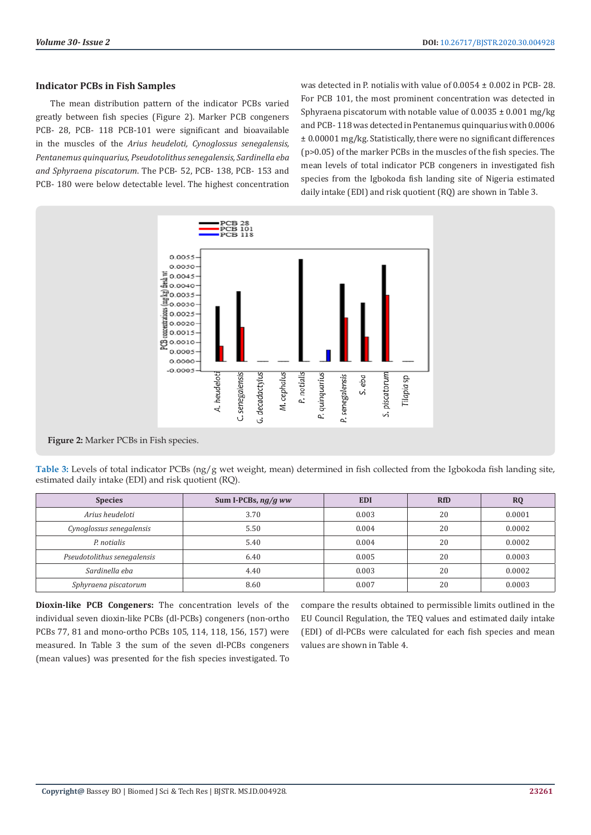## **Indicator PCBs in Fish Samples**

The mean distribution pattern of the indicator PCBs varied greatly between fish species (Figure 2). Marker PCB congeners PCB- 28, PCB- 118 PCB-101 were significant and bioavailable in the muscles of the *Arius heudeloti, Cynoglossus senegalensis, Pentanemus quinquarius, Pseudotolithus senegalensis, Sardinella eba and Sphyraena piscatorum*. The PCB- 52, PCB- 138, PCB- 153 and PCB- 180 were below detectable level. The highest concentration was detected in P. notialis with value of 0.0054 ± 0.002 in PCB- 28. For PCB 101, the most prominent concentration was detected in Sphyraena piscatorum with notable value of  $0.0035 \pm 0.001$  mg/kg and PCB- 118 was detected in Pentanemus quinquarius with 0.0006 ± 0.00001 mg/kg. Statistically, there were no significant differences (p>0.05) of the marker PCBs in the muscles of the fish species. The mean levels of total indicator PCB congeners in investigated fish species from the Igbokoda fish landing site of Nigeria estimated daily intake (EDI) and risk quotient (RQ) are shown in Table 3.



**Figure 2:** Marker PCBs in Fish species.

**Table 3:** Levels of total indicator PCBs (ng/g wet weight, mean) determined in fish collected from the Igbokoda fish landing site, estimated daily intake (EDI) and risk quotient (RQ).

| <b>Species</b>              | Sum I-PCBs, $ng/g$ ww | <b>EDI</b> | <b>RfD</b> | <b>RQ</b> |
|-----------------------------|-----------------------|------------|------------|-----------|
| Arius heudeloti             | 3.70                  | 0.003      | 20         | 0.0001    |
| Cynoglossus senegalensis    | 5.50                  | 0.004      | 20         | 0.0002    |
| P. notialis                 | 5.40                  | 0.004      | 20         | 0.0002    |
| Pseudotolithus senegalensis | 6.40                  | 0.005      | 20         | 0.0003    |
| Sardinella eba              | 4.40                  | 0.003      | 20         | 0.0002    |
| Sphyraena piscatorum        | 8.60                  | 0.007      | 20         | 0.0003    |

**Dioxin-like PCB Congeners:** The concentration levels of the individual seven dioxin-like PCBs (dl-PCBs) congeners (non-ortho PCBs 77, 81 and mono-ortho PCBs 105, 114, 118, 156, 157) were measured. In Table 3 the sum of the seven dl-PCBs congeners (mean values) was presented for the fish species investigated. To compare the results obtained to permissible limits outlined in the EU Council Regulation, the TEQ values and estimated daily intake (EDI) of dl-PCBs were calculated for each fish species and mean values are shown in Table 4.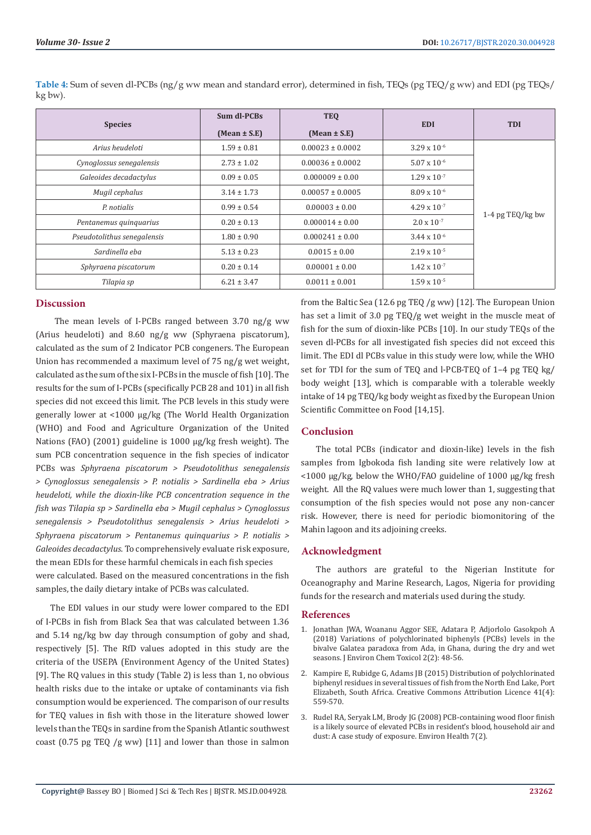| <b>Species</b>              | Sum dl-PCBs      | <b>TEO</b>           | <b>EDI</b>            | <b>TDI</b>       |
|-----------------------------|------------------|----------------------|-----------------------|------------------|
|                             | $(Mean \pm S.E)$ | $(Mean \pm S.E)$     |                       |                  |
| Arius heudeloti             | $1.59 \pm 0.81$  | $0.00023 \pm 0.0002$ | $3.29 \times 10^{-6}$ | 1-4 pg TEQ/kg bw |
| Cynoglossus senegalensis    | $2.73 \pm 1.02$  | $0.00036 \pm 0.0002$ | $5.07 \times 10^{-6}$ |                  |
| Galeoides decadactylus      | $0.09 \pm 0.05$  | $0.000009 \pm 0.00$  | $1.29 \times 10^{-7}$ |                  |
| Mugil cephalus              | $3.14 \pm 1.73$  | $0.00057 \pm 0.0005$ | $8.09 \times 10^{-6}$ |                  |
| P. notialis                 | $0.99 \pm 0.54$  | $0.00003 \pm 0.00$   | $4.29 \times 10^{-7}$ |                  |
| Pentanemus quinquarius      | $0.20 \pm 0.13$  | $0.000014 \pm 0.00$  | $2.0 \times 10^{-7}$  |                  |
| Pseudotolithus senegalensis | $1.80 \pm 0.90$  | $0.000241 \pm 0.00$  | $3.44 \times 10^{-6}$ |                  |
| Sardinella eba              | $5.13 \pm 0.23$  | $0.0015 \pm 0.00$    | $2.19 \times 10^{-5}$ |                  |
| Sphyraena piscatorum        | $0.20 \pm 0.14$  | $0.00001 \pm 0.00$   | $1.42 \times 10^{-7}$ |                  |
| Tilapia sp                  | $6.21 \pm 3.47$  | $0.0011 \pm 0.001$   | $1.59 \times 10^{-5}$ |                  |

**Table 4:** Sum of seven dl-PCBs (ng/g ww mean and standard error), determined in fish, TEQs (pg TEQ/g ww) and EDI (pg TEQs/ kg bw).

# **Discussion**

 The mean levels of I-PCBs ranged between 3.70 ng/g ww (Arius heudeloti) and 8.60 ng/g ww (Sphyraena piscatorum), calculated as the sum of 2 Indicator PCB congeners. The European Union has recommended a maximum level of 75 ng/g wet weight, calculated as the sum of the six I-PCBs in the muscle of fish [10]. The results for the sum of I-PCBs (specifically PCB 28 and 101) in all fish species did not exceed this limit. The PCB levels in this study were generally lower at <1000 µg/kg (The World Health Organization (WHO) and Food and Agriculture Organization of the United Nations (FAO) (2001) guideline is 1000 µg/kg fresh weight). The sum PCB concentration sequence in the fish species of indicator PCBs was *Sphyraena piscatorum > Pseudotolithus senegalensis > Cynoglossus senegalensis > P. notialis > Sardinella eba > Arius heudeloti, while the dioxin-like PCB concentration sequence in the fish was Tilapia sp > Sardinella eba > Mugil cephalus > Cynoglossus senegalensis > Pseudotolithus senegalensis > Arius heudeloti > Sphyraena piscatorum > Pentanemus quinquarius > P. notialis > Galeoides decadactylus*. To comprehensively evaluate risk exposure, the mean EDIs for these harmful chemicals in each fish species were calculated. Based on the measured concentrations in the fish samples, the daily dietary intake of PCBs was calculated.

The EDI values in our study were lower compared to the EDI of I-PCBs in fish from Black Sea that was calculated between 1.36 and 5.14 ng/kg bw day through consumption of goby and shad, respectively [5]. The RfD values adopted in this study are the criteria of the USEPA (Environment Agency of the United States) [9]. The RQ values in this study (Table 2) is less than 1, no obvious health risks due to the intake or uptake of contaminants via fish consumption would be experienced. The comparison of our results for TEQ values in fish with those in the literature showed lower levels than the TEQs in sardine from the Spanish Atlantic southwest coast (0.75 pg TEQ /g ww) [11] and lower than those in salmon

from the Baltic Sea (12.6 pg TEQ /g ww) [12]. The European Union has set a limit of 3.0 pg TEQ/g wet weight in the muscle meat of fish for the sum of dioxin-like PCBs [10]. In our study TEQs of the seven dl-PCBs for all investigated fish species did not exceed this limit. The EDI dl PCBs value in this study were low, while the WHO set for TDI for the sum of TEQ and l-PCB-TEQ of 1–4 pg TEQ kg/ body weight [13], which is comparable with a tolerable weekly intake of 14 pg TEQ/kg body weight as fixed by the European Union Scientific Committee on Food [14,15].

# **Conclusion**

The total PCBs (indicator and dioxin-like) levels in the fish samples from Igbokoda fish landing site were relatively low at <1000 µg/kg, below the WHO/FAO guideline of 1000 µg/kg fresh weight. All the RQ values were much lower than 1, suggesting that consumption of the fish species would not pose any non-cancer risk. However, there is need for periodic biomonitoring of the Mahin lagoon and its adjoining creeks.

# **Acknowledgment**

The authors are grateful to the Nigerian Institute for Oceanography and Marine Research, Lagos, Nigeria for providing funds for the research and materials used during the study.

## **References**

- 1. [Jonathan JWA, Woananu Aggor SEE, Adatara P, Adjorlolo Gasokpoh A](https://www.pulsus.com/scholarly-articles/variations-of-polychlorinated-biphenyls-pcbs-levels-in-the-bivalve-emgalatea-paradoxaem-from-ada-in-ghana-during-the-dry-and-wet-s-4701.html) [\(2018\) Variations of polychlorinated biphenyls \(PCBs\) levels in the](https://www.pulsus.com/scholarly-articles/variations-of-polychlorinated-biphenyls-pcbs-levels-in-the-bivalve-emgalatea-paradoxaem-from-ada-in-ghana-during-the-dry-and-wet-s-4701.html) [bivalve Galatea paradoxa from Ada, in Ghana, during the dry and wet](https://www.pulsus.com/scholarly-articles/variations-of-polychlorinated-biphenyls-pcbs-levels-in-the-bivalve-emgalatea-paradoxaem-from-ada-in-ghana-during-the-dry-and-wet-s-4701.html) [seasons. J Environ Chem Toxicol 2\(2\): 48-56.](https://www.pulsus.com/scholarly-articles/variations-of-polychlorinated-biphenyls-pcbs-levels-in-the-bivalve-emgalatea-paradoxaem-from-ada-in-ghana-during-the-dry-and-wet-s-4701.html)
- 2. [Kampire E, Rubidge G, Adams JB \(2015\) Distribution of polychlorinated](https://www.ajol.info/index.php/wsa/article/view/120114) [biphenyl residues in several tissues of fish from the North End Lake, Port](https://www.ajol.info/index.php/wsa/article/view/120114) [Elizabeth, South Africa. Creative Commons Attribution Licence 41\(4\):](https://www.ajol.info/index.php/wsa/article/view/120114) [559-570.](https://www.ajol.info/index.php/wsa/article/view/120114)
- 3. [Rudel RA, Seryak LM, Brody JG \(2008\) PCB-containing wood floor finish](https://www.researchgate.net/publication/5650920_PCB-containing_wood_floor_finish_is_a_likely_source_of_elevated_PCBs_in_residents) [is a likely source of elevated PCBs in resident's blood, household air and](https://www.researchgate.net/publication/5650920_PCB-containing_wood_floor_finish_is_a_likely_source_of_elevated_PCBs_in_residents) [dust: A case study of exposure. Environ Health 7\(2\).](https://www.researchgate.net/publication/5650920_PCB-containing_wood_floor_finish_is_a_likely_source_of_elevated_PCBs_in_residents)